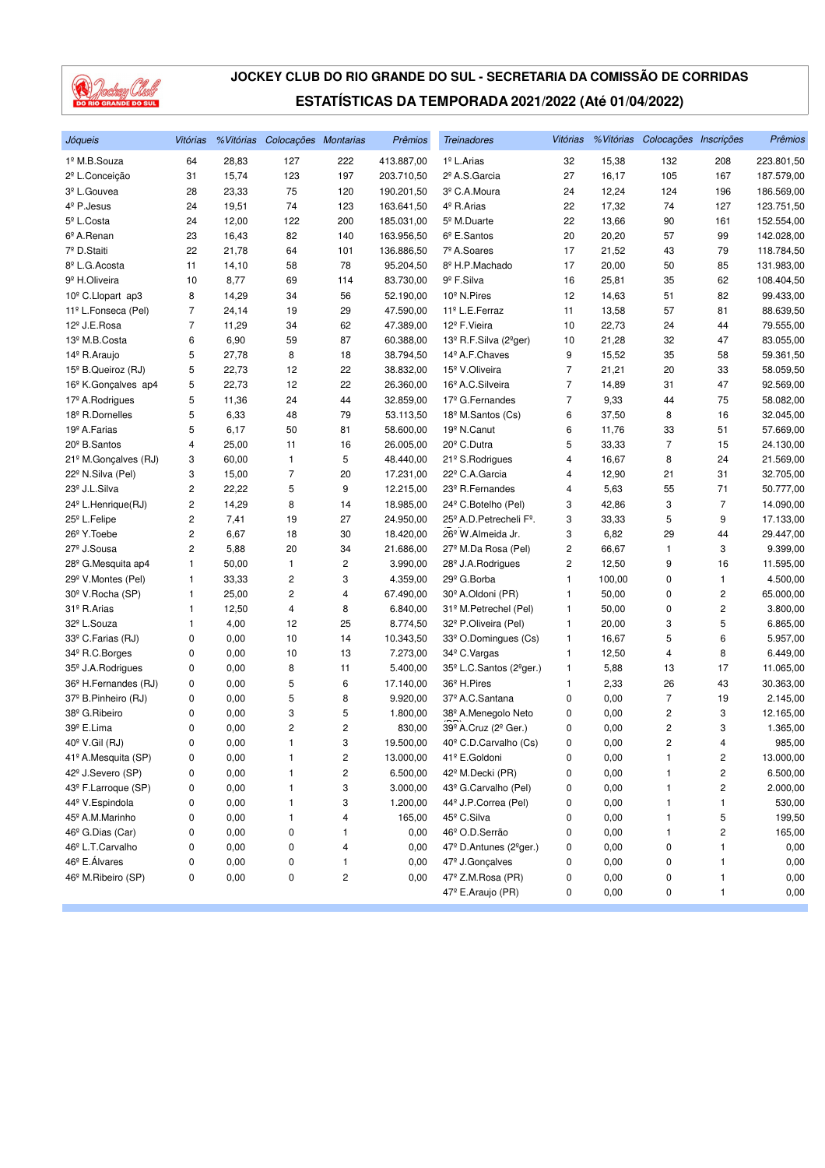

| Jóqueis                          | Vitórias       |       | % Vitórias Colocações Montarias |     | Prêmios    | <b>Treinadores</b>                               | Vitórias       |        | % Vitórias Colocações Inscrições |                         | Prêmios    |
|----------------------------------|----------------|-------|---------------------------------|-----|------------|--------------------------------------------------|----------------|--------|----------------------------------|-------------------------|------------|
| 1º M.B.Souza                     | 64             | 28,83 | 127                             | 222 | 413.887,00 | 1 <sup>º</sup> L.Arias                           | 32             | 15,38  | 132                              | 208                     | 223.801,50 |
| 2 <sup>º</sup> L.Conceição       | 31             | 15,74 | 123                             | 197 | 203.710,50 | 2º A.S.Garcia                                    | 27             | 16,17  | 105                              | 167                     | 187.579,00 |
| 3 <sup>º</sup> L.Gouvea          | 28             | 23,33 | 75                              | 120 | 190.201,50 | 3º C.A.Moura                                     | 24             | 12,24  | 124                              | 196                     | 186.569,00 |
| 4 <sup>º</sup> P.Jesus           | 24             | 19,51 | 74                              | 123 | 163.641,50 | 4 <sup>°</sup> R.Arias                           | 22             | 17,32  | 74                               | 127                     | 123.751,50 |
| 5 <sup>°</sup> L.Costa           | 24             | 12,00 | 122                             | 200 | 185.031,00 | 5 <sup>º</sup> M.Duarte                          | 22             | 13,66  | 90                               | 161                     | 152.554,00 |
| 6º A.Renan                       | 23             | 16,43 | 82                              | 140 | 163.956,50 | $6^{\circ}$ E.Santos                             | 20             | 20,20  | 57                               | 99                      | 142.028,00 |
| 7º D.Staiti                      | 22             | 21,78 | 64                              | 101 | 136.886,50 | 7º A.Soares                                      | 17             | 21,52  | 43                               | 79                      | 118.784,50 |
| 8º L.G. Acosta                   | 11             | 14,10 | 58                              | 78  | 95.204,50  | 8º H.P.Machado                                   | 17             | 20,00  | 50                               | 85                      | 131.983,00 |
| 9 <sup>º</sup> H.Oliveira        | 10             | 8,77  | 69                              | 114 | 83.730,00  | 9 <sup>º</sup> F.Silva                           | 16             | 25,81  | 35                               | 62                      | 108.404,50 |
| 10 <sup>°</sup> C.Llopart ap3    | 8              | 14,29 | 34                              | 56  | 52.190,00  | 10 <sup>°</sup> N.Pires                          | 12             | 14,63  | 51                               | 82                      | 99.433,00  |
| 11º L.Fonseca (Pel)              | 7              | 24,14 | 19                              | 29  | 47.590,00  | 11 <sup>º</sup> L.E.Ferraz                       | 11             | 13,58  | 57                               | 81                      | 88.639,50  |
| 12 <sup>º</sup> J.E.Rosa         | $\overline{7}$ | 11,29 | 34                              | 62  | 47.389,00  | 12 <sup>º</sup> F.Vieira                         | 10             | 22,73  | 24                               | 44                      | 79.555,00  |
| 13 <sup>º</sup> M.B.Costa        | 6              | 6,90  | 59                              | 87  | 60.388,00  | 13º R.F.Silva (2ºger)                            | 10             | 21,28  | 32                               | 47                      | 83.055,00  |
| 14º R.Araujo                     | 5              | 27,78 | 8                               | 18  | 38.794,50  | 14º A.F.Chaves                                   | 9              | 15,52  | 35                               | 58                      | 59.361,50  |
| 15 <sup>°</sup> B.Queiroz (RJ)   | 5              | 22,73 | 12                              | 22  | 38.832,00  | 15 <sup>º</sup> V.Oliveira                       | 7              | 21,21  | 20                               | 33                      | 58.059,50  |
| 16 <sup>°</sup> K.Gonçalves ap4  | 5              | 22,73 | 12                              | 22  | 26.360,00  | 16 <sup>º</sup> A.C.Silveira                     | $\overline{7}$ | 14,89  | 31                               | 47                      | 92.569,00  |
| 17 <sup>º</sup> A.Rodrigues      | 5              | 11,36 | 24                              | 44  | 32.859,00  | 17 <sup>º</sup> G.Fernandes                      | $\overline{7}$ | 9,33   | 44                               | 75                      | 58.082,00  |
| 18 <sup>º</sup> R.Dornelles      | 5              | 6,33  | 48                              | 79  | 53.113,50  | 18 <sup>º</sup> M.Santos (Cs)                    | 6              | 37,50  | 8                                | 16                      | 32.045,00  |
| 19 <sup>º</sup> A.Farias         | 5              | 6,17  | 50                              | 81  | 58.600,00  | 19 <sup>º</sup> N.Canut                          | 6              | 11,76  | 33                               | 51                      | 57.669,00  |
| 20 <sup>°</sup> B.Santos         | 4              | 25,00 | 11                              | 16  | 26.005,00  | 20 <sup>°</sup> C.Dutra                          | 5              | 33,33  | $\overline{7}$                   | 15                      | 24.130,00  |
| 21 <sup>°</sup> M.Gonçalves (RJ) | 3              | 60,00 | 1                               | 5   | 48.440,00  | 21 <sup>°</sup> S.Rodrigues                      | 4              | 16,67  | 8                                | 24                      | 21.569,00  |
| 22 <sup>°</sup> N.Silva (Pel)    | 3              | 15,00 | $\overline{7}$                  | 20  | 17.231,00  | 22º C.A.Garcia                                   | 4              | 12,90  | 21                               | 31                      | 32.705,00  |
| 23 <sup>°</sup> J.L.Silva        | 2              | 22,22 | 5                               | 9   | 12.215,00  | 23 <sup>°</sup> R.Fernandes                      | 4              | 5,63   | 55                               | 71                      | 50.777,00  |
| 24 <sup>°</sup> L.Henrique(RJ)   | 2              | 14,29 | 8                               | 14  | 18.985,00  | 24 <sup>°</sup> C.Botelho (Pel)                  | 3              | 42,86  | 3                                | 7                       | 14.090,00  |
| 25 <sup>°</sup> L.Felipe         | 2              | 7,41  | 19                              | 27  | 24.950,00  | 25 <sup>°</sup> A.D. Petrecheli F <sup>°</sup> . | 3              | 33,33  | 5                                | 9                       | 17.133,00  |
| 26 <sup>°</sup> Y. Toebe         | 2              | 6,67  | 18                              | 30  | 18.420,00  | 26º W.Almeida Jr.                                | 3              | 6,82   | 29                               | 44                      | 29.447,00  |
| 27 <sup>°</sup> J.Sousa          | 2              | 5,88  | 20                              | 34  | 21.686,00  | 27 <sup>°</sup> M.Da Rosa (Pel)                  | 2              | 66,67  | 1                                | 3                       | 9.399,00   |
| 28 <sup>°</sup> G.Mesquita ap4   | 1              | 50,00 | 1                               | 2   | 3.990,00   | 28 <sup>°</sup> J.A.Rodrigues                    | 2              | 12,50  | 9                                | 16                      | 11.595,00  |
| 29 <sup>°</sup> V.Montes (Pel)   | 1              | 33,33 | 2                               | 3   | 4.359,00   | 29 <sup>°</sup> G.Borba                          | 1              | 100,00 | 0                                | 1                       | 4.500,00   |
| 30 <sup>°</sup> V.Rocha (SP)     | 1              | 25,00 | $\overline{c}$                  | 4   | 67.490,00  | 30 <sup>°</sup> A.Oldoni (PR)                    | 1              | 50,00  | 0                                | 2                       | 65.000,00  |
| 31º R.Arias                      | 1              | 12,50 | 4                               | 8   | 6.840,00   | 31º M.Petrechel (Pel)                            | 1              | 50,00  | 0                                | 2                       | 3.800,00   |
| 32 <sup>º</sup> L.Souza          | 1              | 4,00  | 12                              | 25  | 8.774,50   | 32 <sup>°</sup> P.Oliveira (Pel)                 | 1              | 20,00  | 3                                | 5                       | 6.865,00   |
| 33º C.Farias (RJ)                | 0              | 0,00  | 10                              | 14  | 10.343,50  | 33º O.Domingues (Cs)                             | 1              | 16,67  | 5                                | 6                       | 5.957,00   |
| 34 <sup>°</sup> R.C.Borges       | 0              | 0,00  | 10                              | 13  | 7.273,00   | 34 <sup>°</sup> C. Vargas                        | 1              | 12,50  | 4                                | 8                       | 6.449,00   |
| 35 <sup>°</sup> J.A.Rodrigues    | 0              | 0,00  | 8                               | 11  | 5.400,00   | 35º L.C.Santos (2ºger.)                          | 1              | 5,88   | 13                               | 17                      | 11.065,00  |
| 36 <sup>°</sup> H.Fernandes (RJ) | 0              | 0,00  | 5                               | 6   | 17.140,00  | 36 <sup>°</sup> H.Pires                          | 1              | 2,33   | 26                               | 43                      | 30.363,00  |
| 37º B.Pinheiro (RJ)              | 0              | 0,00  | 5                               | 8   | 9.920,00   | 37º A.C.Santana                                  | 0              | 0,00   | 7                                | 19                      | 2.145,00   |
| 38º G.Ribeiro                    | 0              | 0,00  | 3                               | 5   | 1.800,00   | 38º A.Menegolo Neto                              | 0              | 0,00   | 2                                | 3                       | 12.165,00  |
| 39º E.Lima                       | 0              | 0,00  | 2                               | 2   | 830,00     | 39º A.Cruz (2º Ger.)                             | 0              | 0,00   | 2                                | 3                       | 1.365,00   |
| 40° V.Gil (RJ)                   | 0              | 0,00  | 1                               | 3   | 19.500,00  | 40 <sup>°</sup> C.D.Carvalho (Cs)                | 0              | 0,00   | 2                                | 4                       | 985,00     |
| 41º A.Mesquita (SP)              | 0              | 0,00  | 1                               | 2   | 13.000,00  | 41º E.Goldoni                                    | 0              | 0,00   | 1                                | 2                       | 13.000,00  |
| 42 <sup>°</sup> J.Severo (SP)    | 0              | 0,00  | 1                               | 2   | 6.500,00   | 42 <sup>º</sup> M.Decki (PR)                     | 0              | 0,00   | 1                                | $\overline{\mathbf{c}}$ | 6.500,00   |
| 43º F.Larroque (SP)              | 0              | 0,00  | 1                               | 3   | 3.000,00   | 43º G.Carvalho (Pel)                             | 0              | 0,00   | 1                                | 2                       | 2.000,00   |
| 44 <sup>º</sup> V.Espindola      | 0              | 0,00  | 1                               | 3   | 1.200,00   | 44º J.P.Correa (Pel)                             | 0              | 0,00   | 1                                | 1                       | 530,00     |
| 45 <sup>°</sup> A.M.Marinho      | 0              | 0,00  | 1                               | 4   | 165,00     | 45 <sup>°</sup> C.Silva                          | 0              | 0,00   | 1                                | 5                       | 199,50     |
| 46 <sup>°</sup> G.Dias (Car)     | 0              | 0,00  | 0                               | 1   | 0,00       | 46º O.D.Serrão                                   | 0              | 0,00   | 1                                | $\overline{c}$          | 165,00     |
| 46º L.T.Carvalho                 | 0              | 0,00  | 0                               | 4   | 0,00       | 47º D.Antunes (2ºger.)                           | 0              | 0,00   | 0                                | 1                       | 0,00       |
| 46 <sup>°</sup> E. Álvares       | 0              | 0,00  | 0                               | 1   | 0,00       | 47 <sup>°</sup> J.Gonçalves                      | 0              | 0,00   | 0                                | 1                       | 0,00       |
| 46 <sup>°</sup> M.Ribeiro (SP)   | 0              | 0,00  | 0                               | 2   | 0,00       | 47º Z.M.Rosa (PR)                                | 0              | 0,00   | 0                                | $\mathbf{1}$            | 0,00       |
|                                  |                |       |                                 |     |            | 47º E.Araujo (PR)                                | 0              | 0,00   | 0                                | 1                       | 0,00       |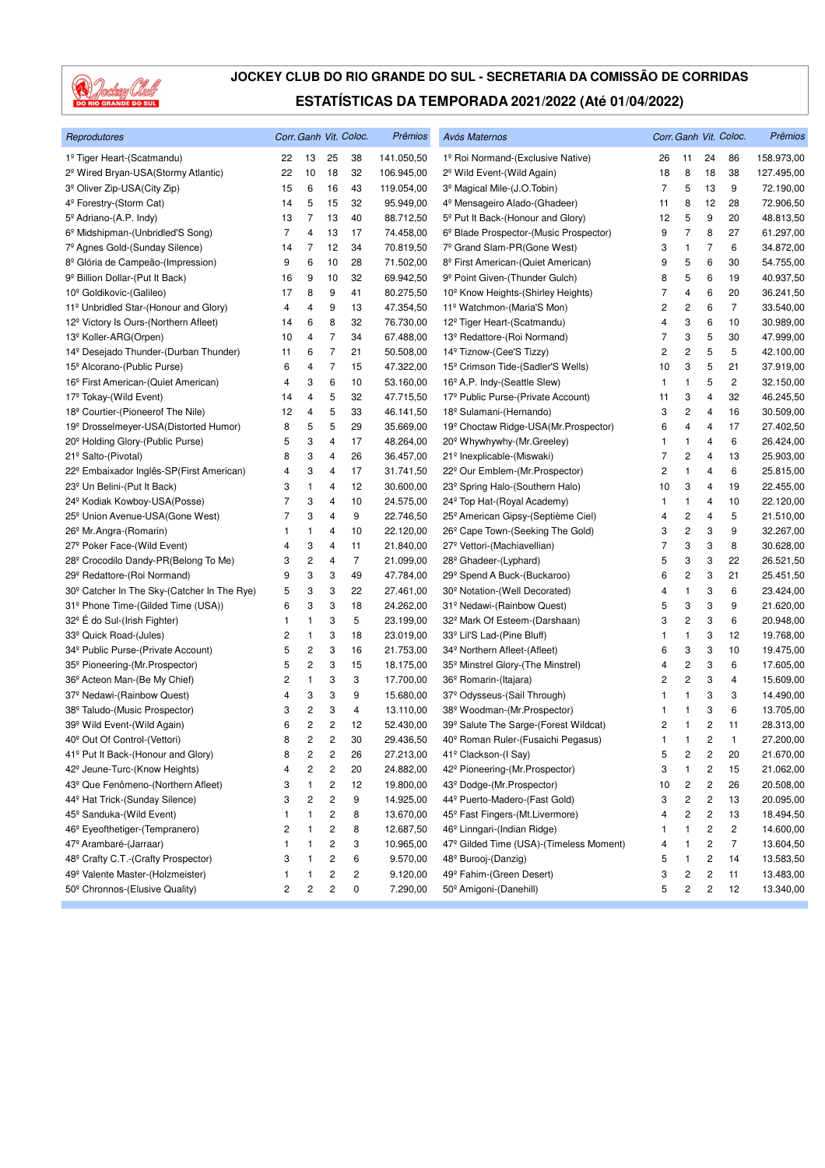

| Reprodutores                                         |              |                         |                         | Corr. Ganh Vit. Coloc. | Prêmios    | Avós Maternos                                  |    |                         |                         | Corr. Ganh Vit. Coloc. | Prêmios    |
|------------------------------------------------------|--------------|-------------------------|-------------------------|------------------------|------------|------------------------------------------------|----|-------------------------|-------------------------|------------------------|------------|
| 1º Tiger Heart-(Scatmandu)                           | 22           | 13                      | 25                      | 38                     | 141.050,50 | 1º Roi Normand-(Exclusive Native)              | 26 | 11                      | 24                      | 86                     | 158.973,00 |
| 2 <sup>º</sup> Wired Bryan-USA(Stormy Atlantic)      | 22           | 10                      | 18                      | 32                     | 106.945,00 | 2º Wild Event-(Wild Again)                     | 18 | 8                       | 18                      | 38                     | 127.495,00 |
| 3 <sup>º</sup> Oliver Zip-USA(City Zip)              | 15           | 6                       | 16                      | 43                     | 119.054,00 | 3º Magical Mile-(J.O.Tobin)                    | 7  | 5                       | 13                      | 9                      | 72.190,00  |
| 4 <sup>º</sup> Forestry-(Storm Cat)                  | 14           | 5                       | 15                      | 32                     | 95.949,00  | 4 <sup>º</sup> Mensageiro Alado-(Ghadeer)      | 11 | 8                       | 12                      | 28                     | 72.906,50  |
| 5 <sup>°</sup> Adriano-(A.P. Indy)                   | 13           | 7                       | 13                      | 40                     | 88.712,50  | 5 <sup>°</sup> Put It Back-(Honour and Glory)  | 12 | 5                       | 9                       | 20                     | 48.813,50  |
| 6 <sup>°</sup> Midshipman-(Unbridled'S Song)         | 7            | 4                       | 13                      | 17                     | 74.458,00  | 6º Blade Prospector-(Music Prospector)         | 9  | 7                       | 8                       | 27                     | 61.297,00  |
| 7º Agnes Gold-(Sunday Silence)                       | 14           | 7                       | 12                      | 34                     | 70.819,50  | 7º Grand Slam-PR(Gone West)                    | 3  | $\mathbf{1}$            | 7                       | 6                      | 34.872,00  |
| 8 <sup>º</sup> Glória de Campeão-(Impression)        | 9            | 6                       | 10                      | 28                     | 71.502,00  | 8º First American-(Quiet American)             | 9  | 5                       | 6                       | 30                     | 54.755,00  |
| 9 <sup>º</sup> Billion Dollar-(Put It Back)          | 16           | 9                       | 10                      | 32                     | 69.942,50  | 9 <sup>º</sup> Point Given-(Thunder Gulch)     | 8  | 5                       | 6                       | 19                     | 40.937,50  |
| 10 <sup>°</sup> Goldikovic-(Galileo)                 | 17           | 8                       | 9                       | 41                     | 80.275,50  | 10 <sup>°</sup> Know Heights-(Shirley Heights) | 7  | 4                       | 6                       | 20                     | 36.241,50  |
| 11º Unbridled Star-(Honour and Glory)                | 4            | 4                       | 9                       | 13                     | 47.354,50  | 11º Watchmon-(Maria'S Mon)                     | 2  | 2                       | 6                       | $\overline{7}$         | 33.540,00  |
| 12 <sup>°</sup> Victory Is Ours-(Northern Afleet)    | 14           | 6                       | 8                       | 32                     | 76.730,00  | 12 <sup>°</sup> Tiger Heart-(Scatmandu)        | 4  | 3                       | 6                       | 10                     | 30.989,00  |
| 13 <sup>º</sup> Koller-ARG(Orpen)                    | 10           | 4                       | 7                       | 34                     | 67.488,00  | 13º Redattore-(Roi Normand)                    | 7  | 3                       | 5                       | 30                     | 47.999,00  |
| 14 <sup>°</sup> Desejado Thunder-(Durban Thunder)    | 11           | 6                       | 7                       | 21                     | 50.508,00  | 14 <sup>º</sup> Tiznow-(Cee'S Tizzy)           | 2  | 2                       | 5                       | 5                      | 42.100,00  |
| 15 <sup>°</sup> Alcorano-(Public Purse)              | 6            | 4                       | 7                       | 15                     | 47.322,00  | 15 <sup>°</sup> Crimson Tide-(Sadler'S Wells)  | 10 | 3                       | 5                       | 21                     | 37.919,00  |
| 16 <sup>°</sup> First American-(Quiet American)      | 4            | 3                       | 6                       | 10                     | 53.160,00  | 16 <sup>°</sup> A.P. Indy-(Seattle Slew)       | 1  | $\mathbf{1}$            | 5                       | 2                      | 32.150,00  |
| 17º Tokay-(Wild Event)                               | 14           | 4                       | 5                       | 32                     | 47.715,50  | 17º Public Purse-(Private Account)             | 11 | 3                       | $\overline{4}$          | 32                     | 46.245,50  |
| 18º Courtier-(Pioneerof The Nile)                    | 12           | 4                       | 5                       | 33                     | 46.141,50  | 18 <sup>°</sup> Sulamani-(Hernando)            | 3  | $\overline{\mathbf{c}}$ | 4                       | 16                     | 30.509,00  |
| 19 <sup>º</sup> Drosselmeyer-USA(Distorted Humor)    | 8            | 5                       | 5                       | 29                     | 35.669,00  | 19º Choctaw Ridge-USA(Mr.Prospector)           | 6  | 4                       | 4                       | 17                     | 27.402,50  |
| 20 <sup>°</sup> Holding Glory-(Public Purse)         | 5            | 3                       | 4                       | 17                     | 48.264,00  | 20 <sup>°</sup> Whywhywhy-(Mr.Greeley)         | 1  | 1                       | 4                       | 6                      | 26.424,00  |
| 21º Salto-(Pivotal)                                  | 8            | 3                       | 4                       | 26                     | 36.457,00  | 21º Inexplicable-(Miswaki)                     | 7  | $\overline{\mathbf{c}}$ | 4                       | 13                     | 25.903,00  |
| 22 <sup>°</sup> Embaixador Inglês-SP(First American) | 4            | 3                       | 4                       | 17                     | 31.741,50  | 22º Our Emblem-(Mr. Prospector)                | 2  | $\mathbf{1}$            | 4                       | 6                      | 25.815,00  |
| 23 <sup>°</sup> Un Belini-(Put It Back)              | 3            | 1                       | 4                       | 12                     | 30.600,00  | 23 <sup>°</sup> Spring Halo-(Southern Halo)    | 10 | 3                       | 4                       | 19                     | 22.455,00  |
| 24 <sup>°</sup> Kodiak Kowboy-USA(Posse)             | 7            | 3                       | 4                       | 10                     | 24.575,00  | 24 <sup>°</sup> Top Hat-(Royal Academy)        | 1  | $\mathbf{1}$            | 4                       | 10                     | 22.120,00  |
| 25 <sup>°</sup> Union Avenue-USA(Gone West)          | 7            | 3                       | 4                       | 9                      | 22.746,50  | 25 <sup>°</sup> American Gipsy-(Septième Ciel) | 4  | $\overline{\mathbf{c}}$ | 4                       | 5                      | 21.510,00  |
| 26 <sup>°</sup> Mr.Angra-(Romarin)                   | 1            | 1                       | 4                       | 10                     | 22.120,00  | 26 <sup>°</sup> Cape Town-(Seeking The Gold)   | 3  | $\overline{\mathbf{c}}$ | 3                       | 9                      | 32.267,00  |
| 27 <sup>°</sup> Poker Face-(Wild Event)              | 4            | 3                       | 4                       | 11                     | 21.840,00  | 27º Vettori-(Machiavellian)                    | 7  | 3                       | 3                       | 8                      | 30.628,00  |
| 28 <sup>°</sup> Crocodilo Dandy-PR(Belong To Me)     | 3            | 2                       | 4                       | $\overline{7}$         | 21.099,00  | 28 <sup>°</sup> Ghadeer-(Lyphard)              | 5  | 3                       | 3                       | 22                     | 26.521,50  |
| 29 <sup>°</sup> Redattore-(Roi Normand)              | 9            | 3                       | 3                       | 49                     | 47.784,00  | 29 <sup>°</sup> Spend A Buck-(Buckaroo)        | 6  | 2                       | 3                       | 21                     | 25.451,50  |
| 30° Catcher In The Sky-(Catcher In The Rye)          | 5            | 3                       | 3                       | 22                     | 27.461,00  | 30 <sup>°</sup> Notation-(Well Decorated)      | 4  | 1                       | 3                       | 6                      | 23.424,00  |
| 31º Phone Time-(Gilded Time (USA))                   | 6            | 3                       | 3                       | 18                     | 24.262,00  | 31º Nedawi-(Rainbow Quest)                     | 5  | 3                       | 3                       | 9                      | 21.620,00  |
| 32 <sup>°</sup> É do Sul-(Irish Fighter)             | 1            | 1                       | 3                       | 5                      | 23.199,00  | 32 <sup>°</sup> Mark Of Esteem-(Darshaan)      | 3  | $\overline{\mathbf{c}}$ | 3                       | 6                      | 20.948,00  |
| 33º Quick Road-(Jules)                               | 2            | 1                       | 3                       | 18                     | 23.019,00  | 33º Lil'S Lad-(Pine Bluff)                     | 1  | 1                       | 3                       | 12                     | 19.768,00  |
| 34º Public Purse-(Private Account)                   | 5            | 2                       | 3                       | 16                     | 21.753,00  | 34 <sup>°</sup> Northern Afleet-(Afleet)       | 6  | 3                       | 3                       | 10                     | 19.475,00  |
| 35 <sup>°</sup> Pioneering-(Mr.Prospector)           | 5            | 2                       | 3                       | 15                     | 18.175,00  | 35 <sup>°</sup> Minstrel Glory-(The Minstrel)  | 4  | 2                       | 3                       | 6                      | 17.605,00  |
| 36 <sup>°</sup> Acteon Man-(Be My Chief)             | 2            | 1                       | 3                       | 3                      | 17.700,00  | 36 <sup>°</sup> Romarin-(Itajara)              | 2  | $\overline{c}$          | 3                       | 4                      | 15.609,00  |
| 37 <sup>°</sup> Nedawi-(Rainbow Quest)               | 4            | 3                       | 3                       | 9                      | 15.680,00  | 37 <sup>°</sup> Odysseus-(Sail Through)        | 1  | 1                       | 3                       | 3                      | 14.490,00  |
| 38º Taludo-(Music Prospector)                        | 3            | $\overline{\mathbf{c}}$ | 3                       | 4                      | 13.110,00  | 38 <sup>°</sup> Woodman-(Mr.Prospector)        | 1  | $\mathbf{1}$            | 3                       | 6                      | 13.705,00  |
| 39 <sup>°</sup> Wild Event-(Wild Again)              | 6            | 2                       | $\overline{\mathbf{c}}$ | 12                     | 52.430,00  | 39º Salute The Sarge-(Forest Wildcat)          | 2  | $\mathbf{1}$            | $\overline{\mathbf{c}}$ | 11                     | 28.313,00  |
| 40° Out Of Control-(Vettori)                         | 8            | 2                       | $\overline{c}$          | 30                     | 29.436,50  | 40 <sup>°</sup> Roman Ruler-(Fusaichi Pegasus) | 1  | $\mathbf{1}$            | 2                       | $\mathbf{1}$           | 27.200,00  |
| 41º Put It Back-(Honour and Glory)                   | 8            | 2                       | 2                       | 26                     | 27.213,00  | 41º Clackson-(I Say)                           | 5  | $\overline{\mathbf{c}}$ | $\sqrt{2}$              | 20                     | 21.670,00  |
| 42 <sup>°</sup> Jeune-Turc-(Know Heights)            | 4            | 2                       | 2                       | 20                     | 24.882,00  | 42º Pioneering-(Mr.Prospector)                 | 3  | 1                       | 2                       | 15                     | 21.062,00  |
| 43º Que Fenômeno-(Northern Afleet)                   | 3            | 1                       | 2                       | 12                     | 19.800,00  | 43º Dodge-(Mr. Prospector)                     | 10 | $\overline{\mathbf{c}}$ | $\overline{\mathbf{c}}$ | 26                     | 20.508,00  |
| 44 <sup>°</sup> Hat Trick-(Sunday Silence)           | 3            | 2                       | 2                       | 9                      | 14.925,00  | 44º Puerto-Madero-(Fast Gold)                  | 3  | 2                       | $\overline{\mathbf{c}}$ | 13                     | 20.095,00  |
| 45 <sup>°</sup> Sanduka-(Wild Event)                 | 1            | 1                       | $\overline{\mathbf{c}}$ | 8                      | 13.670,00  | 45 <sup>°</sup> Fast Fingers-(Mt.Livermore)    | 4  | 2                       | $\sqrt{2}$              | 13                     | 18.494,50  |
| 46 <sup>°</sup> Eyeofthetiger-(Tempranero)           | 2            | 1                       | $\overline{\mathbf{c}}$ | 8                      | 12.687,50  | 46 <sup>°</sup> Linngari-(Indian Ridge)        | 1  | 1                       | $\mathbf 2$             | 2                      | 14.600,00  |
| 47 <sup>º</sup> Arambaré-(Jarraar)                   | $\mathbf{1}$ | 1                       | 2                       | 3                      | 10.965,00  | 47º Gilded Time (USA)-(Timeless Moment)        | 4  | 1                       | 2                       | 7                      | 13.604,50  |
| 48º Crafty C.T.-(Crafty Prospector)                  | 3            | 1                       | 2                       | 6                      | 9.570,00   | 48 <sup>°</sup> Burooj-(Danzig)                | 5  | 1                       | $\overline{\mathbf{c}}$ | 14                     | 13.583,50  |
| 49º Valente Master-(Holzmeister)                     | 1            | 1                       | 2                       | 2                      | 9.120,00   | 49º Fahim-(Green Desert)                       | 3  | $\overline{\mathbf{c}}$ | $\overline{\mathbf{c}}$ | 11                     | 13.483,00  |
| 50 <sup>°</sup> Chronnos-(Elusive Quality)           | 2            | 2                       | $\overline{\mathbf{c}}$ | 0                      | 7.290,00   | 50 <sup>°</sup> Amigoni-(Danehill)             | 5  | $\mathbf 2$             | $\sqrt{2}$              | 12                     | 13.340,00  |
|                                                      |              |                         |                         |                        |            |                                                |    |                         |                         |                        |            |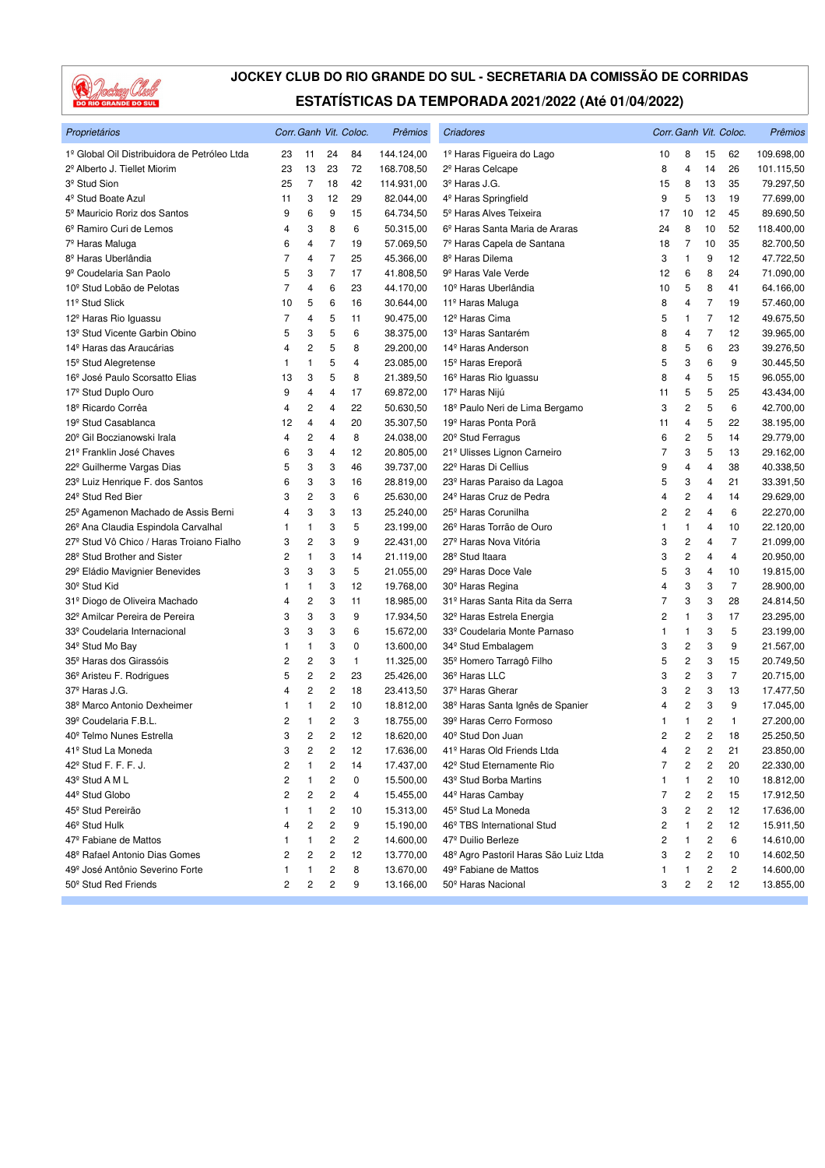

| Proprietários                                   |                         |                |                | Corr. Ganh Vit. Coloc. | Prêmios    | Criadores                                    |    |                         |                | Corr. Ganh Vit. Coloc.  | Prêmios    |
|-------------------------------------------------|-------------------------|----------------|----------------|------------------------|------------|----------------------------------------------|----|-------------------------|----------------|-------------------------|------------|
| 1º Global Oil Distribuidora de Petróleo Ltda    | 23                      | 11             | 24             | 84                     | 144.124,00 | 1º Haras Figueira do Lago                    | 10 | 8                       | 15             | 62                      | 109.698,00 |
| 2º Alberto J. Tiellet Miorim                    | 23                      | 13             | 23             | 72                     | 168.708,50 | 2 <sup>º</sup> Haras Celcape                 | 8  | 4                       | 14             | 26                      | 101.115,50 |
| 3 <sup>º</sup> Stud Sion                        | 25                      | $\overline{7}$ | 18             | 42                     | 114.931,00 | 3 <sup>º</sup> Haras J.G.                    | 15 | 8                       | 13             | 35                      | 79.297,50  |
| 4 <sup>º</sup> Stud Boate Azul                  | 11                      | 3              | 12             | 29                     | 82.044,00  | 4 <sup>º</sup> Haras Springfield             | 9  | 5                       | 13             | 19                      | 77.699,00  |
| 5 <sup>º</sup> Mauricio Roriz dos Santos        | 9                       | 6              | 9              | 15                     | 64.734,50  | 5 <sup>°</sup> Haras Alves Teixeira          | 17 | 10                      | 12             | 45                      | 89.690,50  |
| 6º Ramiro Curi de Lemos                         | 4                       | 3              | 8              | 6                      | 50.315,00  | 6 <sup>º</sup> Haras Santa Maria de Araras   | 24 | 8                       | 10             | 52                      | 118.400,00 |
| 7º Haras Maluga                                 | 6                       | 4              | $\overline{7}$ | 19                     | 57.069,50  | 7º Haras Capela de Santana                   | 18 | $\overline{7}$          | 10             | 35                      | 82.700,50  |
| 8 <sup>º</sup> Haras Uberlândia                 | $\overline{7}$          | 4              | $\overline{7}$ | 25                     | 45.366,00  | 8º Haras Dilema                              | 3  | 1                       | 9              | 12                      | 47.722,50  |
| 9º Coudelaria San Paolo                         | 5                       | 3              | $\overline{7}$ | 17                     | 41.808,50  | 9 <sup>º</sup> Haras Vale Verde              | 12 | 6                       | 8              | 24                      | 71.090,00  |
| 10 <sup>°</sup> Stud Lobão de Pelotas           | 7                       | 4              | 6              | 23                     | 44.170,00  | 10 <sup>°</sup> Haras Uberlândia             | 10 | 5                       | 8              | 41                      | 64.166,00  |
| 11 <sup>º</sup> Stud Slick                      | 10                      | 5              | 6              | 16                     | 30.644,00  | 11 <sup>º</sup> Haras Maluga                 | 8  | 4                       | $\overline{7}$ | 19                      | 57.460,00  |
| 12 <sup>º</sup> Haras Rio Iguassu               | 7                       | 4              | 5              | 11                     | 90.475,00  | 12 <sup>º</sup> Haras Cima                   | 5  | 1                       | $\overline{7}$ | 12                      | 49.675,50  |
| 13 <sup>°</sup> Stud Vicente Garbin Obino       | 5                       | 3              | 5              | 6                      | 38.375,00  | 13 <sup>º</sup> Haras Santarém               | 8  | 4                       | 7              | 12                      | 39.965,00  |
| 14 <sup>º</sup> Haras das Araucárias            | 4                       | 2              | 5              | 8                      | 29.200,00  | 14 <sup>°</sup> Haras Anderson               | 8  | 5                       | 6              | 23                      | 39.276,50  |
| 15 <sup>°</sup> Stud Alegretense                | 1                       | 1              | 5              | 4                      | 23.085,00  | 15 <sup>°</sup> Haras Ereporã                | 5  | 3                       | 6              | 9                       | 30.445,50  |
| 16 <sup>°</sup> José Paulo Scorsatto Elias      | 13                      | 3              | 5              | 8                      | 21.389,50  | 16 <sup>°</sup> Haras Rio Iguassu            | 8  | 4                       | 5              | 15                      | 96.055,00  |
| 17 <sup>º</sup> Stud Duplo Ouro                 | 9                       | 4              | 4              | 17                     | 69.872,00  | 17º Haras Nijú                               | 11 | 5                       | 5              | 25                      | 43.434,00  |
| 18 <sup>°</sup> Ricardo Corrêa                  | 4                       | 2              | 4              | 22                     | 50.630,50  | 18º Paulo Neri de Lima Bergamo               | 3  | 2                       | 5              | 6                       | 42.700,00  |
| 19 <sup>°</sup> Stud Casablanca                 | 12                      | 4              | 4              | 20                     | 35.307,50  | 19 <sup>º</sup> Haras Ponta Porã             | 11 | 4                       | 5              | 22                      | 38.195,00  |
| 20 <sup>°</sup> Gil Boczianowski Irala          | 4                       | 2              | 4              | 8                      | 24.038,00  | 20 <sup>°</sup> Stud Ferragus                | 6  | 2                       | 5              | 14                      | 29.779,00  |
| 21º Franklin José Chaves                        | 6                       | 3              | 4              | 12                     | 20.805,00  | 21º Ulisses Lignon Carneiro                  | 7  | 3                       | 5              | 13                      | 29.162,00  |
| 22º Guilherme Vargas Dias                       | 5                       | 3              | 3              | 46                     | 39.737,00  | 22 <sup>°</sup> Haras Di Cellius             | 9  | 4                       | 4              | 38                      | 40.338,50  |
| 23 <sup>°</sup> Luiz Henrique F. dos Santos     | 6                       | 3              | 3              | 16                     | 28.819,00  | 23º Haras Paraiso da Lagoa                   | 5  | 3                       | 4              | 21                      | 33.391,50  |
| 24 <sup>°</sup> Stud Red Bier                   | 3                       | 2              | 3              | 6                      | 25.630,00  | 24 <sup>°</sup> Haras Cruz de Pedra          | 4  | $\overline{\mathbf{c}}$ | 4              | 14                      | 29.629,00  |
| 25º Agamenon Machado de Assis Berni             | 4                       | 3              | 3              | 13                     | 25.240,00  | 25 <sup>°</sup> Haras Corunilha              | 2  | 2                       | 4              | 6                       | 22.270,00  |
| 26 <sup>°</sup> Ana Claudia Espindola Carvalhal | 1                       | 1              | 3              | 5                      | 23.199,00  | 26 <sup>°</sup> Haras Torrão de Ouro         | 1  | 1                       | $\overline{4}$ | 10                      | 22.120,00  |
| 27º Stud Vô Chico / Haras Troiano Fialho        | 3                       | 2              | 3              | 9                      | 22.431,00  | 27 <sup>º</sup> Haras Nova Vitória           | 3  | 2                       | 4              | $\overline{7}$          | 21.099,00  |
| 28 <sup>°</sup> Stud Brother and Sister         | 2                       | 1              | 3              | 14                     | 21.119,00  | 28 <sup>°</sup> Stud Itaara                  | 3  | $\overline{\mathbf{c}}$ | 4              | 4                       | 20.950,00  |
| 29 <sup>°</sup> Eládio Mavignier Benevides      | 3                       | 3              | 3              | 5                      | 21.055,00  | 29º Haras Doce Vale                          | 5  | 3                       | 4              | 10                      | 19.815,00  |
| 30 <sup>°</sup> Stud Kid                        | 1                       | 1              | 3              | 12                     | 19.768,00  | 30 <sup>°</sup> Haras Regina                 | 4  | 3                       | 3              | $\overline{7}$          | 28.900,00  |
| 31º Diogo de Oliveira Machado                   | 4                       | 2              | 3              | 11                     | 18.985,00  | 31º Haras Santa Rita da Serra                | 7  | 3                       | 3              | 28                      | 24.814,50  |
| 32º Amilcar Pereira de Pereira                  | 3                       | 3              | 3              | 9                      | 17.934,50  | 32 <sup>°</sup> Haras Estrela Energia        | 2  | $\mathbf{1}$            | 3              | 17                      | 23.295,00  |
| 33º Coudelaria Internacional                    | 3                       | 3              | 3              | 6                      | 15.672,00  | 33º Coudelaria Monte Parnaso                 | 1  | 1                       | 3              | 5                       | 23.199,00  |
| 34 <sup>°</sup> Stud Mo Bay                     | 1                       | 1              | 3              | 0                      | 13.600,00  | 34 <sup>°</sup> Stud Embalagem               | 3  | 2                       | 3              | 9                       | 21.567,00  |
| 35 <sup>°</sup> Haras dos Girassóis             | 2                       | $\overline{c}$ | 3              | 1                      | 11.325,00  | 35 <sup>°</sup> Homero Tarragô Filho         | 5  | 2                       | 3              | 15                      | 20.749,50  |
| 36 <sup>°</sup> Aristeu F. Rodrigues            | 5                       | 2              | 2              | 23                     | 25.426,00  | 36º Haras LLC                                | 3  | 2                       | 3              | $\overline{7}$          | 20.715,00  |
| 37 <sup>º</sup> Haras J.G.                      | 4                       | 2              | 2              | 18                     | 23.413,50  | 37 <sup>°</sup> Haras Gherar                 | 3  | 2                       | 3              | 13                      | 17.477,50  |
| 38º Marco Antonio Dexheimer                     | 1                       | 1              | 2              | 10                     | 18.812,00  | 38 <sup>º</sup> Haras Santa Ignês de Spanier | 4  | 2                       | 3              | 9                       | 17.045,00  |
| 39º Coudelaria F.B.L.                           | 2                       | 1              | $\overline{c}$ | 3                      | 18.755,00  | 39º Haras Cerro Formoso                      | 1  | $\mathbf{1}$            | 2              | $\mathbf{1}$            | 27.200,00  |
| 40 <sup>°</sup> Telmo Nunes Estrella            | 3                       | 2              | $\overline{2}$ | 12                     | 18.620,00  | 40 <sup>°</sup> Stud Don Juan                | 2  | 2                       | 2              | 18                      | 25.250,50  |
| 41º Stud La Moneda                              | 3                       | 2              | 2              | 12                     | 17.636,00  | 41º Haras Old Friends Ltda                   | 4  | 2                       | 2              | 21                      | 23.850,00  |
| 42 <sup>°</sup> Stud F. F. F. J.                | $\overline{\mathbf{c}}$ | 1              | 2              | 14                     | 17.437,00  | 42 <sup>°</sup> Stud Eternamente Rio         | 7  | 2                       | 2              | 20                      | 22.330,00  |
| 43º Stud A M L                                  | 2                       | 1              | 2              | 0                      | 15.500,00  | 43 <sup>º</sup> Stud Borba Martins           | 1  | 1                       | 2              | 10                      | 18.812,00  |
| 44 <sup>°</sup> Stud Globo                      | 2                       | 2              | 2              | 4                      | 15.455,00  | 44 <sup>°</sup> Haras Cambay                 | 7  | 2                       | 2              | 15                      | 17.912,50  |
| 45 <sup>°</sup> Stud Pereirão                   | 1                       | 1              | 2              | 10                     | 15.313,00  | 45 <sup>°</sup> Stud La Moneda               | 3  | 2                       | 2              | 12                      | 17.636,00  |
| 46 <sup>°</sup> Stud Hulk                       | 4                       | $\overline{c}$ | 2              | 9                      | 15.190,00  | 46º TBS International Stud                   | 2  | 1                       | 2              | 12                      | 15.911,50  |
| 47º Fabiane de Mattos                           | 1                       | 1              | 2              | 2                      | 14.600,00  | 47º Duilio Berleze                           | 2  | 1                       | 2              | 6                       | 14.610,00  |
| 48 <sup>°</sup> Rafael Antonio Dias Gomes       | 2                       | 2              | 2              | 12                     | 13.770,00  | 48º Agro Pastoril Haras São Luiz Ltda        | 3  | 2                       | 2              | 10                      | 14.602,50  |
| 49 <sup>º</sup> José Antônio Severino Forte     | 1                       | 1              | 2              | 8                      | 13.670,00  | 49 <sup>°</sup> Fabiane de Mattos            | 1  | 1                       | 2              | $\overline{\mathbf{c}}$ | 14.600,00  |
| 50 <sup>°</sup> Stud Red Friends                | $\overline{\mathbf{c}}$ | 2              | 2              | 9                      | 13.166,00  | 50 <sup>°</sup> Haras Nacional               | 3  | 2                       | 2              | 12                      | 13.855,00  |
|                                                 |                         |                |                |                        |            |                                              |    |                         |                |                         |            |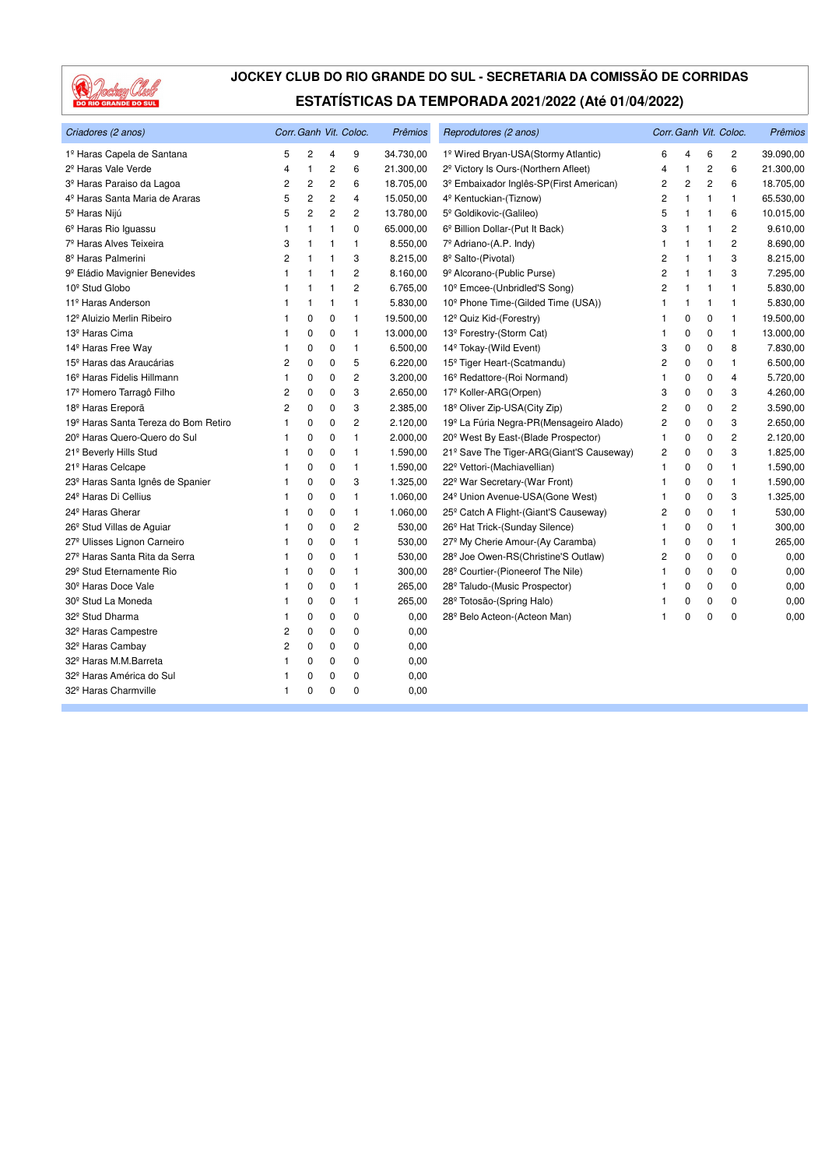

| Criadores (2 anos)                               |                |                |                | Corr. Ganh Vit. Coloc. | Prêmios   | Reprodutores (2 anos)                             |                |              |                | Corr. Ganh Vit. Coloc. | <b>Prêmios</b> |
|--------------------------------------------------|----------------|----------------|----------------|------------------------|-----------|---------------------------------------------------|----------------|--------------|----------------|------------------------|----------------|
| 1º Haras Capela de Santana                       | 5              | $\overline{c}$ | 4              | 9                      | 34.730,00 | 1º Wired Bryan-USA(Stormy Atlantic)               | 6              | 4            | 6              | $\overline{c}$         | 39.090,00      |
| 2 <sup>º</sup> Haras Vale Verde                  | $\overline{4}$ | $\mathbf{1}$   | 2              | 6                      | 21.300,00 | 2 <sup>º</sup> Victory Is Ours-(Northern Afleet)  | 4              | 1            | $\overline{2}$ | 6                      | 21.300,00      |
| 3º Haras Paraiso da Lagoa                        | 2              | $\overline{c}$ | 2              | 6                      | 18.705,00 | 3º Embaixador Inglês-SP(First American)           | 2              | 2            | 2              | 6                      | 18.705,00      |
| 4 <sup>º</sup> Haras Santa Maria de Araras       | 5              | $\overline{c}$ | 2              | 4                      | 15.050,00 | 4 <sup>º</sup> Kentuckian-(Tiznow)                | 2              | $\mathbf{1}$ | 1              | $\mathbf{1}$           | 65.530,00      |
| 5 <sup>º</sup> Haras Nijú                        | 5              | $\overline{2}$ | $\overline{c}$ | 2                      | 13.780,00 | 5º Goldikovic-(Galileo)                           | 5              | 1            | 1              | 6                      | 10.015,00      |
| 6 <sup>°</sup> Haras Rio Iguassu                 | 1              | $\mathbf{1}$   | 1              | 0                      | 65.000,00 | 6 <sup>°</sup> Billion Dollar-(Put It Back)       | 3              | $\mathbf{1}$ | 1              | 2                      | 9.610,00       |
| 7 <sup>º</sup> Haras Alves Teixeira              | 3              | $\overline{1}$ | 1              | 1                      | 8.550,00  | 7º Adriano-(A.P. Indy)                            | 1              | 1            | 1              | $\overline{2}$         | 8.690,00       |
| 8 <sup>º</sup> Haras Palmerini                   | 2              | $\mathbf{1}$   | 1              | 3                      | 8.215,00  | 8º Salto-(Pivotal)                                | $\overline{c}$ | 1            | $\mathbf{1}$   | 3                      | 8.215,00       |
| 9 <sup>º</sup> Eládio Mavignier Benevides        | 1              | $\mathbf{1}$   | 1              | $\overline{c}$         | 8.160,00  | 9º Alcorano-(Public Purse)                        | $\overline{2}$ | 1            | 1              | 3                      | 7.295,00       |
| 10 <sup>°</sup> Stud Globo                       | 1              | $\overline{1}$ | 1              | $\overline{c}$         | 6.765,00  | 10 <sup>°</sup> Emcee-(Unbridled'S Song)          | $\overline{2}$ | $\mathbf{1}$ | 1              | $\overline{1}$         | 5.830,00       |
| 11 <sup>º</sup> Haras Anderson                   | 1              | $\overline{1}$ | 1              | 1                      | 5.830,00  | 10 <sup>°</sup> Phone Time-(Gilded Time (USA))    | $\overline{1}$ | 1            | 1              | $\mathbf{1}$           | 5.830,00       |
| 12º Aluizio Merlin Ribeiro                       |                | 0              | $\mathbf 0$    | 1                      | 19.500,00 | 12 <sup>°</sup> Quiz Kid-(Forestry)               | 1              | 0            | 0              | $\mathbf{1}$           | 19.500,00      |
| 13 <sup>º</sup> Haras Cima                       |                | 0              | $\mathbf 0$    | 1                      | 13.000,00 | 13º Forestry-(Storm Cat)                          | 1              | 0            | 0              | $\mathbf{1}$           | 13.000,00      |
| 14 <sup>º</sup> Haras Free Way                   |                | 0              | 0              | 1                      | 6.500,00  | 14 <sup>°</sup> Tokay-(Wild Event)                | 3              | 0            | 0              | 8                      | 7.830,00       |
| 15 <sup>°</sup> Haras das Araucárias             | 2              | 0              | 0              | 5                      | 6.220,00  | 15 <sup>°</sup> Tiger Heart-(Scatmandu)           | 2              | 0            | 0              | $\mathbf{1}$           | 6.500,00       |
| 16 <sup>º</sup> Haras Fidelis Hillmann           | 1              | 0              | $\mathbf 0$    | $\overline{c}$         | 3.200,00  | 16 <sup>°</sup> Redattore-(Roi Normand)           | 1              | 0            | 0              | $\overline{4}$         | 5.720,00       |
| 17º Homero Tarragô Filho                         | 2              | 0              | 0              | 3                      | 2.650,00  | 17 <sup>º</sup> Koller-ARG(Orpen)                 | 3              | 0            | 0              | 3                      | 4.260,00       |
| 18 <sup>º</sup> Haras Ereporã                    | 2              | 0              | 0              | 3                      | 2.385,00  | 18 <sup>°</sup> Oliver Zip-USA(City Zip)          | 2              | 0            | 0              | $\overline{2}$         | 3.590,00       |
| 19 <sup>º</sup> Haras Santa Tereza do Bom Retiro |                | 0              | 0              | $\overline{c}$         | 2.120,00  | 19º La Fúria Negra-PR(Mensageiro Alado)           | $\overline{2}$ | 0            | $\Omega$       | 3                      | 2.650,00       |
| 20 <sup>°</sup> Haras Quero-Quero do Sul         | 1              | 0              | 0              | 1                      | 2.000,00  | 20 <sup>°</sup> West By East-(Blade Prospector)   | 1              | 0            | 0              | $\overline{c}$         | 2.120,00       |
| 21 <sup>º</sup> Beverly Hills Stud               | 1              | 0              | 0              | 1                      | 1.590,00  | 21º Save The Tiger-ARG(Giant'S Causeway)          | 2              | 0            | 0              | 3                      | 1.825,00       |
| 21 <sup>º</sup> Haras Celcape                    |                | 0              | 0              | 1                      | 1.590,00  | 22º Vettori-(Machiavellian)                       | 1              | 0            | 0              | $\mathbf{1}$           | 1.590,00       |
| 23 <sup>º</sup> Haras Santa Ignês de Spanier     |                | 0              | 0              | 3                      | 1.325,00  | 22º War Secretary-(War Front)                     | 1              | 0            | 0              | $\mathbf{1}$           | 1.590,00       |
| 24 <sup>°</sup> Haras Di Cellius                 |                | 0              | 0              | 1                      | 1.060,00  | 24 <sup>°</sup> Union Avenue-USA(Gone West)       | 1              | 0            | 0              | 3                      | 1.325,00       |
| 24 <sup>°</sup> Haras Gherar                     |                | 0              | $\mathbf 0$    | 1                      | 1.060,00  | 25 <sup>°</sup> Catch A Flight-(Giant'S Causeway) | 2              | 0            | 0              | $\mathbf{1}$           | 530,00         |
| 26 <sup>°</sup> Stud Villas de Aguiar            |                | 0              | 0              | 2                      | 530,00    | 26 <sup>°</sup> Hat Trick-(Sunday Silence)        | 1              | 0            | 0              | $\mathbf{1}$           | 300,00         |
| 27 <sup>°</sup> Ulisses Lignon Carneiro          |                | $\mathbf 0$    | $\mathbf 0$    | $\mathbf{1}$           | 530,00    | 27º My Cherie Amour-(Ay Caramba)                  | 1              | 0            | 0              | $\mathbf{1}$           | 265,00         |
| 27º Haras Santa Rita da Serra                    | 1              | 0              | 0              | 1                      | 530,00    | 28 <sup>°</sup> Joe Owen-RS(Christine'S Outlaw)   | 2              | 0            | 0              | 0                      | 0,00           |
| 29º Stud Eternamente Rio                         |                | 0              | 0              | 1                      | 300,00    | 28 <sup>°</sup> Courtier-(Pioneerof The Nile)     | 1              | 0            | 0              | 0                      | 0,00           |
| 30 <sup>°</sup> Haras Doce Vale                  | 1              | 0              | $\mathbf 0$    | 1                      | 265,00    | 28º Taludo-(Music Prospector)                     | 1              | 0            | 0              | $\mathbf{0}$           | 0,00           |
| 30 <sup>°</sup> Stud La Moneda                   |                | 0              | 0              | 1                      | 265,00    | 28º Totosão-(Spring Halo)                         | 1              | 0            | 0              | 0                      | 0,00           |
| 32 <sup>º</sup> Stud Dharma                      |                | 0              | 0              | 0                      | 0,00      | 28º Belo Acteon-(Acteon Man)                      | 1              | 0            | $\Omega$       | 0                      | 0,00           |
| 32 <sup>º</sup> Haras Campestre                  | 2              | 0              | 0              | 0                      | 0,00      |                                                   |                |              |                |                        |                |
| 32 <sup>°</sup> Haras Cambay                     | 2              | 0              | 0              | 0                      | 0,00      |                                                   |                |              |                |                        |                |
| 32 <sup>°</sup> Haras M.M.Barreta                |                | 0              | $\mathbf 0$    | 0                      | 0,00      |                                                   |                |              |                |                        |                |
| 32º Haras América do Sul                         |                | 0              | 0              | 0                      | 0,00      |                                                   |                |              |                |                        |                |
| 32 <sup>º</sup> Haras Charmville                 | 1              | 0              | 0              | 0                      | 0,00      |                                                   |                |              |                |                        |                |